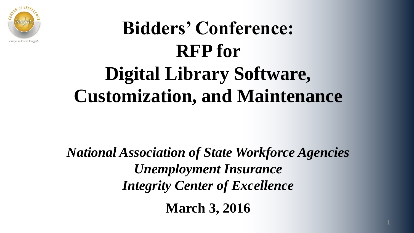

### **Bidders' Conference: RFP for Digital Library Software, Customization, and Maintenance**

*National Association of State Workforce Agencies Unemployment Insurance Integrity Center of Excellence*

**March 3, 2016**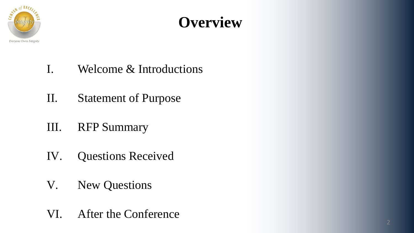

### **Overview**

- I. Welcome & Introductions
- II. Statement of Purpose
- III. RFP Summary
- IV. Questions Received
- V. New Questions
- VI. After the Conference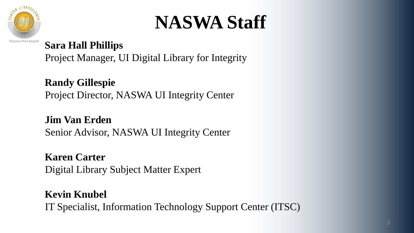

### **NASWA Staff**

#### **Sara Hall Phillips**

Project Manager, UI Digital Library for Integrity

**Randy Gillespie** Project Director, NASWA UI Integrity Center

**Jim Van Erden** Senior Advisor, NASWA UI Integrity Center

**Karen Carter** Digital Library Subject Matter Expert

**Kevin Knubel** IT Specialist, Information Technology Support Center (ITSC)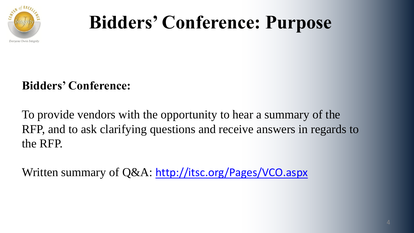

### **Bidders' Conference: Purpose**

#### **Bidders' Conference:**

To provide vendors with the opportunity to hear a summary of the RFP, and to ask clarifying questions and receive answers in regards to the RFP.

Written summary of Q&A: <http://itsc.org/Pages/VCO.aspx>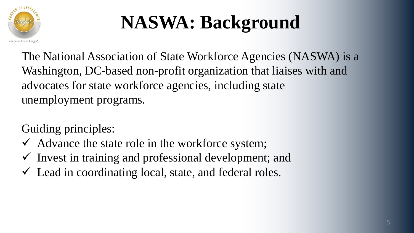

## **NASWA: Background**

The National Association of State Workforce Agencies (NASWA) is a Washington, DC-based non-profit organization that liaises with and advocates for state workforce agencies, including state unemployment programs.

Guiding principles:

- $\checkmark$  Advance the state role in the workforce system;
- $\checkmark$  Invest in training and professional development; and
- $\checkmark$  Lead in coordinating local, state, and federal roles.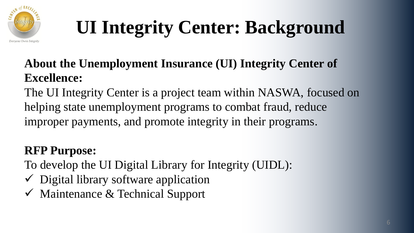

# **UI Integrity Center: Background**

#### **About the Unemployment Insurance (UI) Integrity Center of Excellence:**

The UI Integrity Center is a project team within NASWA, focused on helping state unemployment programs to combat fraud, reduce improper payments, and promote integrity in their programs.

#### **RFP Purpose:**

To develop the UI Digital Library for Integrity (UIDL):

- $\checkmark$  Digital library software application
- $\checkmark$  Maintenance & Technical Support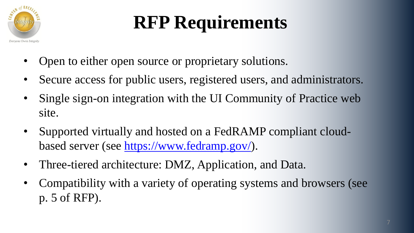

- Open to either open source or proprietary solutions.
- Secure access for public users, registered users, and administrators.
- Single sign-on integration with the UI Community of Practice web site.
- Supported virtually and hosted on a FedRAMP compliant cloudbased server (see<https://www.fedramp.gov/>).
- Three-tiered architecture: DMZ, Application, and Data.
- Compatibility with a variety of operating systems and browsers (see p. 5 of RFP).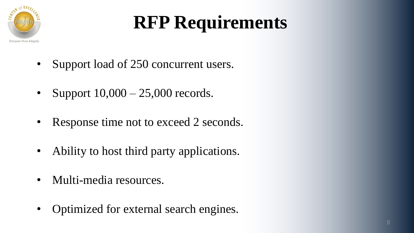

- Support load of 250 concurrent users.
- Support  $10,000 25,000$  records.
- Response time not to exceed 2 seconds.
- Ability to host third party applications.
- Multi-media resources.
- Optimized for external search engines.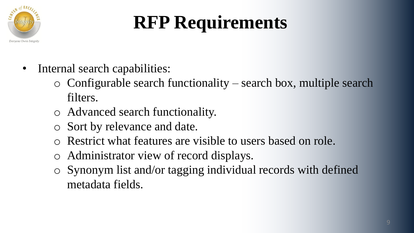

- Internal search capabilities:
	- o Configurable search functionality search box, multiple search filters.
	- o Advanced search functionality.
	- o Sort by relevance and date.
	- Restrict what features are visible to users based on role.
	- o Administrator view of record displays.
	- o Synonym list and/or tagging individual records with defined metadata fields.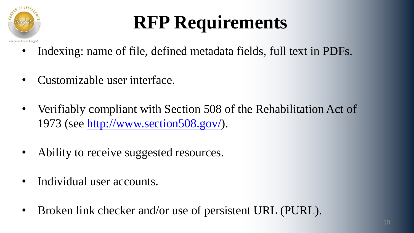

- Indexing: name of file, defined metadata fields, full text in PDFs.
- Customizable user interface.
- Verifiably compliant with Section 508 of the Rehabilitation Act of 1973 (see <http://www.section508.gov/>).
- Ability to receive suggested resources.
- Individual user accounts.
- Broken link checker and/or use of persistent URL (PURL).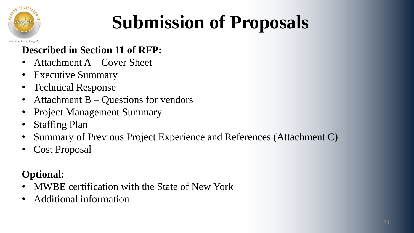

# **Submission of Proposals**

#### **Described in Section 11 of RFP:**

- Attachment A Cover Sheet
- Executive Summary
- Technical Response
- Attachment B Questions for vendors
- Project Management Summary
- Staffing Plan
- Summary of Previous Project Experience and References (Attachment C)
- Cost Proposal

#### **Optional:**

- MWBE certification with the State of New York
- Additional information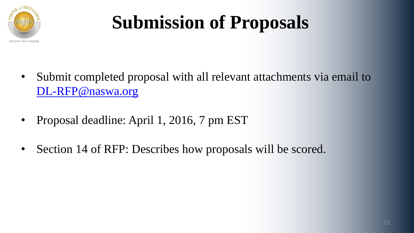

# **Submission of Proposals**

- Submit completed proposal with all relevant attachments via email to [DL-RFP@naswa.org](mailto:DL-RFP@naswa.org)
- Proposal deadline: April 1, 2016, 7 pm EST
- Section 14 of RFP: Describes how proposals will be scored.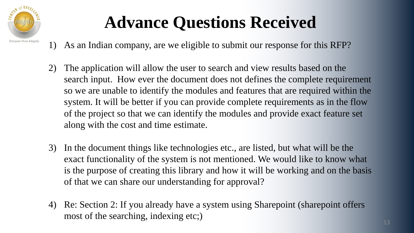

### **Advance Questions Received**

- 1) As an Indian company, are we eligible to submit our response for this RFP?
- 2) The application will allow the user to search and view results based on the search input. How ever the document does not defines the complete requirement so we are unable to identify the modules and features that are required within the system. It will be better if you can provide complete requirements as in the flow of the project so that we can identify the modules and provide exact feature set along with the cost and time estimate.
- 3) In the document things like technologies etc., are listed, but what will be the exact functionality of the system is not mentioned. We would like to know what is the purpose of creating this library and how it will be working and on the basis of that we can share our understanding for approval?
- 4) Re: Section 2: If you already have a system using Sharepoint (sharepoint offers most of the searching, indexing etc;)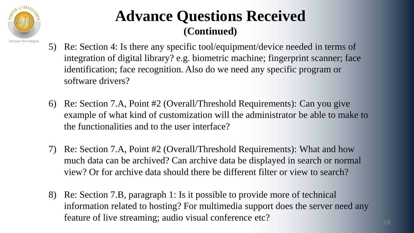

- 5) Re: Section 4: Is there any specific tool/equipment/device needed in terms of integration of digital library? e.g. biometric machine; fingerprint scanner; face identification; face recognition. Also do we need any specific program or software drivers?
- 6) Re: Section 7.A, Point #2 (Overall/Threshold Requirements): Can you give example of what kind of customization will the administrator be able to make to the functionalities and to the user interface?
- 7) Re: Section 7.A, Point #2 (Overall/Threshold Requirements): What and how much data can be archived? Can archive data be displayed in search or normal view? Or for archive data should there be different filter or view to search?
- 8) Re: Section 7.B, paragraph 1: Is it possible to provide more of technical information related to hosting? For multimedia support does the server need any feature of live streaming; audio visual conference etc?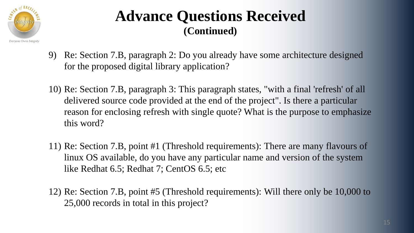

- 9) Re: Section 7.B, paragraph 2: Do you already have some architecture designed for the proposed digital library application?
- 10) Re: Section 7.B, paragraph 3: This paragraph states, "with a final 'refresh' of all delivered source code provided at the end of the project". Is there a particular reason for enclosing refresh with single quote? What is the purpose to emphasize this word?
- 11) Re: Section 7.B, point #1 (Threshold requirements): There are many flavours of linux OS available, do you have any particular name and version of the system like Redhat 6.5; Redhat 7; CentOS 6.5; etc
- 12) Re: Section 7.B, point #5 (Threshold requirements): Will there only be 10,000 to 25,000 records in total in this project?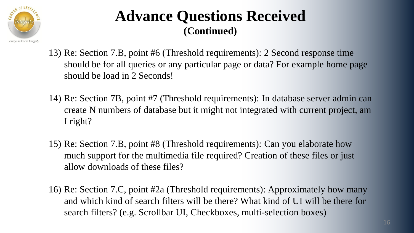

- 13) Re: Section 7.B, point #6 (Threshold requirements): 2 Second response time should be for all queries or any particular page or data? For example home page should be load in 2 Seconds!
- 14) Re: Section 7B, point #7 (Threshold requirements): In database server admin can create N numbers of database but it might not integrated with current project, am I right?
- 15) Re: Section 7.B, point #8 (Threshold requirements): Can you elaborate how much support for the multimedia file required? Creation of these files or just allow downloads of these files?
- 16) Re: Section 7.C, point #2a (Threshold requirements): Approximately how many and which kind of search filters will be there? What kind of UI will be there for search filters? (e.g. Scrollbar UI, Checkboxes, multi-selection boxes)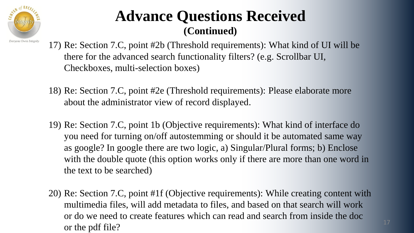

- 17) Re: Section 7.C, point #2b (Threshold requirements): What kind of UI will be there for the advanced search functionality filters? (e.g. Scrollbar UI, Checkboxes, multi-selection boxes)
- 18) Re: Section 7.C, point #2e (Threshold requirements): Please elaborate more about the administrator view of record displayed.
- 19) Re: Section 7.C, point 1b (Objective requirements): What kind of interface do you need for turning on/off autostemming or should it be automated same way as google? In google there are two logic, a) Singular/Plural forms; b) Enclose with the double quote (this option works only if there are more than one word in the text to be searched)
- 20) Re: Section 7.C, point #1f (Objective requirements): While creating content with multimedia files, will add metadata to files, and based on that search will work or do we need to create features which can read and search from inside the doc or the pdf file?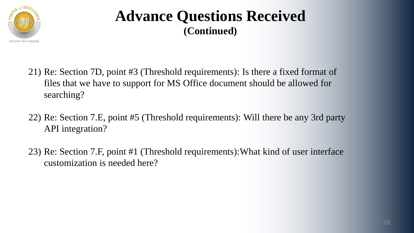

- 21) Re: Section 7D, point #3 (Threshold requirements): Is there a fixed format of files that we have to support for MS Office document should be allowed for searching?
- 22) Re: Section 7.E, point #5 (Threshold requirements): Will there be any 3rd party API integration?
- 23) Re: Section 7.F, point #1 (Threshold requirements):What kind of user interface customization is needed here?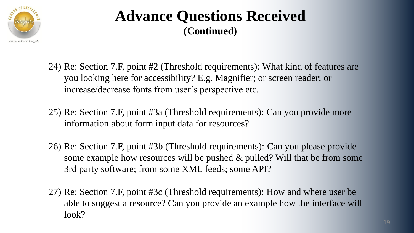

- 24) Re: Section 7.F, point #2 (Threshold requirements): What kind of features are you looking here for accessibility? E.g. Magnifier; or screen reader; or increase/decrease fonts from user's perspective etc.
- 25) Re: Section 7.F, point #3a (Threshold requirements): Can you provide more information about form input data for resources?
- 26) Re: Section 7.F, point #3b (Threshold requirements): Can you please provide some example how resources will be pushed & pulled? Will that be from some 3rd party software; from some XML feeds; some API?
- 27) Re: Section 7.F, point #3c (Threshold requirements): How and where user be able to suggest a resource? Can you provide an example how the interface will look?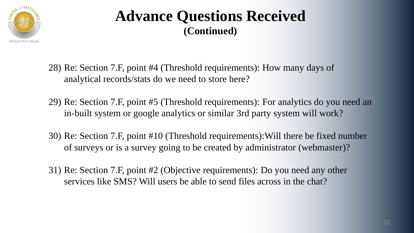

- 28) Re: Section 7.F, point #4 (Threshold requirements): How many days of analytical records/stats do we need to store here?
- 29) Re: Section 7.F, point #5 (Threshold requirements): For analytics do you need an in-built system or google analytics or similar 3rd party system will work?
- 30) Re: Section 7.F, point #10 (Threshold requirements):Will there be fixed number of surveys or is a survey going to be created by administrator (webmaster)?
- 31) Re: Section 7.F, point #2 (Objective requirements): Do you need any other services like SMS? Will users be able to send files across in the chat?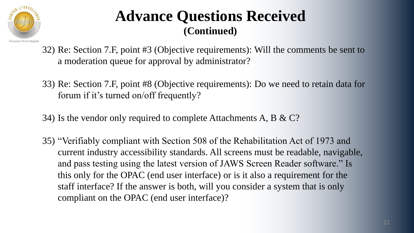

- 32) Re: Section 7.F, point #3 (Objective requirements): Will the comments be sent to a moderation queue for approval by administrator?
- 33) Re: Section 7.F, point #8 (Objective requirements): Do we need to retain data for forum if it's turned on/off frequently?
- 34) Is the vendor only required to complete Attachments A, B & C?
- 35) "Verifiably compliant with Section 508 of the Rehabilitation Act of 1973 and current industry accessibility standards. All screens must be readable, navigable, and pass testing using the latest version of JAWS Screen Reader software." Is this only for the OPAC (end user interface) or is it also a requirement for the staff interface? If the answer is both, will you consider a system that is only compliant on the OPAC (end user interface)?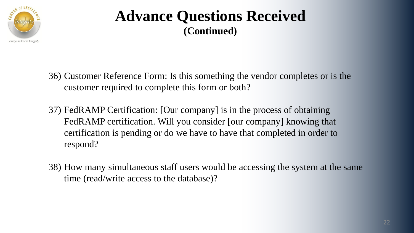

- 36) Customer Reference Form: Is this something the vendor completes or is the customer required to complete this form or both?
- 37) FedRAMP Certification: [Our company] is in the process of obtaining FedRAMP certification. Will you consider [our company] knowing that certification is pending or do we have to have that completed in order to respond?
- 38) How many simultaneous staff users would be accessing the system at the same time (read/write access to the database)?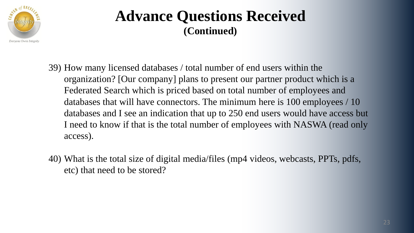

- 39) How many licensed databases / total number of end users within the organization? [Our company] plans to present our partner product which is a Federated Search which is priced based on total number of employees and databases that will have connectors. The minimum here is 100 employees / 10 databases and I see an indication that up to 250 end users would have access but I need to know if that is the total number of employees with NASWA (read only access).
- 40) What is the total size of digital media/files (mp4 videos, webcasts, PPTs, pdfs, etc) that need to be stored?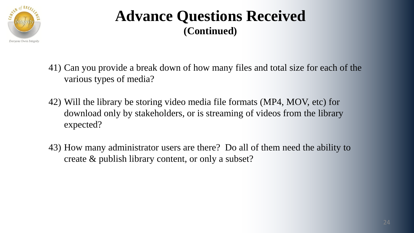

- 41) Can you provide a break down of how many files and total size for each of the various types of media?
- 42) Will the library be storing video media file formats (MP4, MOV, etc) for download only by stakeholders, or is streaming of videos from the library expected?
- 43) How many administrator users are there? Do all of them need the ability to create & publish library content, or only a subset?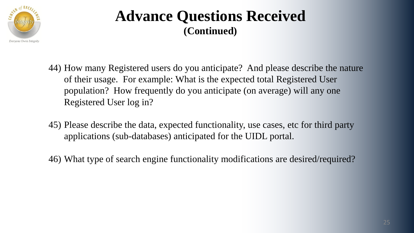

- 44) How many Registered users do you anticipate? And please describe the nature of their usage. For example: What is the expected total Registered User population? How frequently do you anticipate (on average) will any one Registered User log in?
- 45) Please describe the data, expected functionality, use cases, etc for third party applications (sub-databases) anticipated for the UIDL portal.
- 46) What type of search engine functionality modifications are desired/required?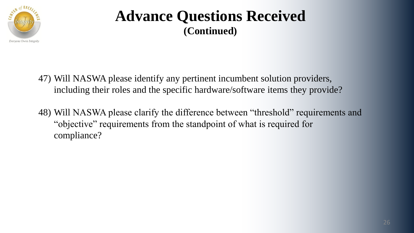

47) Will NASWA please identify any pertinent incumbent solution providers, including their roles and the specific hardware/software items they provide?

48) Will NASWA please clarify the difference between "threshold" requirements and "objective" requirements from the standpoint of what is required for compliance?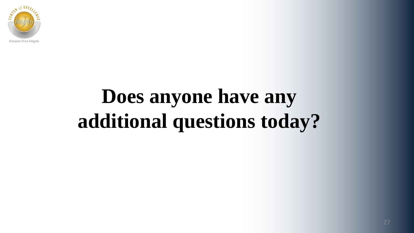

# **Does anyone have any additional questions today?**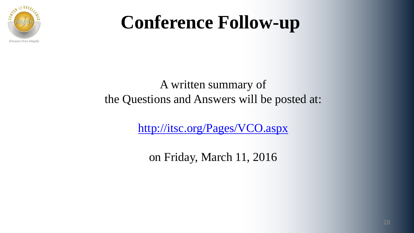

### **Conference Follow-up**

#### A written summary of the Questions and Answers will be posted at:

<http://itsc.org/Pages/VCO.aspx>

on Friday, March 11, 2016